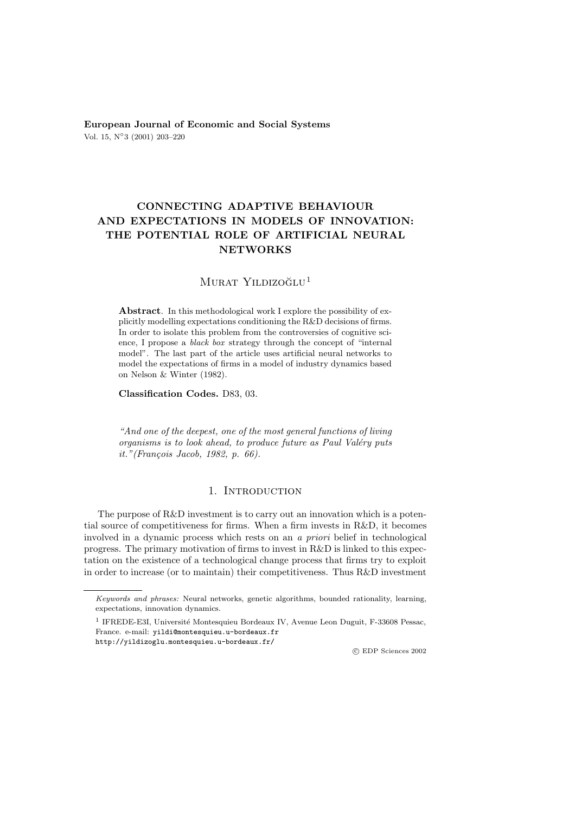**European Journal of Economic and Social Systems** Vol. 15, N◦3 (2001) 203–220

# **CONNECTING ADAPTIVE BEHAVIOUR AND EXPECTATIONS IN MODELS OF INNOVATION: THE POTENTIAL ROLE OF ARTIFICIAL NEURAL NETWORKS**

# MURAT YILDIZOĞLU<sup>1</sup>

**Abstract**. In this methodological work I explore the possibility of explicitly modelling expectations conditioning the R&D decisions of firms. In order to isolate this problem from the controversies of cognitive science, I propose a black box strategy through the concept of "internal model". The last part of the article uses artificial neural networks to model the expectations of firms in a model of industry dynamics based on Nelson & Winter (1982).

**Classification Codes.** D83, 03.

*"And one of the deepest, one of the most general functions of living organisms is to look ahead, to produce future as Paul Valéry puts it."(Fran¸cois Jacob, 1982, p. 66).*

# 1. INTRODUCTION

The purpose of R&D investment is to carry out an innovation which is a potential source of competitiveness for firms. When a firm invests in R&D, it becomes involved in a dynamic process which rests on an *a priori* belief in technological progress. The primary motivation of firms to invest in R&D is linked to this expectation on the existence of a technological change process that firms try to exploit in order to increase (or to maintain) their competitiveness. Thus R&D investment

c EDP Sciences 2002

Keywords and phrases: Neural networks, genetic algorithms, bounded rationality, learning, expectations, innovation dynamics.

 $^{\rm 1}$  IFREDE-E3I, Université Montesquieu Bordeaux IV, Avenue Leon Duguit, F-33608 Pessac, France. e-mail: yildi@montesquieu.u-bordeaux.fr

http://yildizoglu.montesquieu.u-bordeaux.fr/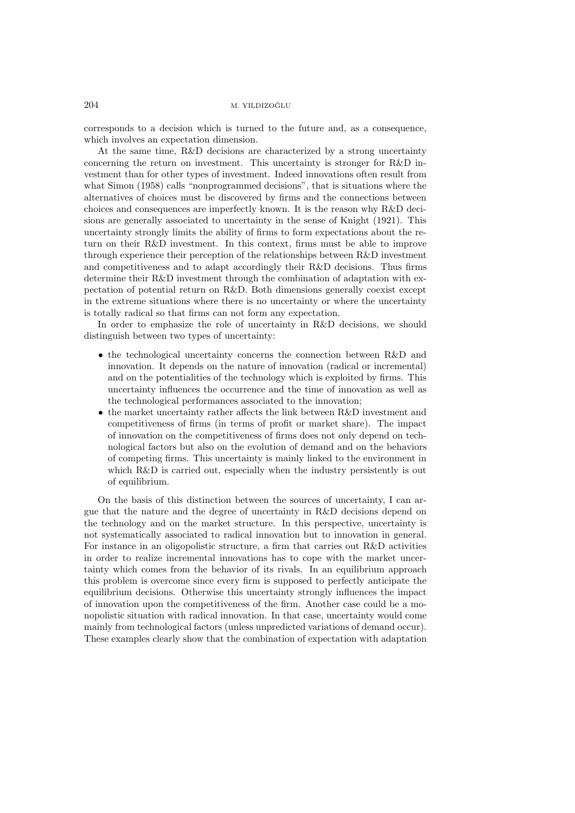corresponds to a decision which is turned to the future and, as a consequence, which involves an expectation dimension.

At the same time, R&D decisions are characterized by a strong uncertainty concerning the return on investment. This uncertainty is stronger for R&D investment than for other types of investment. Indeed innovations often result from what Simon (1958) calls "nonprogrammed decisions", that is situations where the alternatives of choices must be discovered by firms and the connections between choices and consequences are imperfectly known. It is the reason why R&D decisions are generally associated to uncertainty in the sense of Knight (1921). This uncertainty strongly limits the ability of firms to form expectations about the return on their R&D investment. In this context, firms must be able to improve through experience their perception of the relationships between R&D investment and competitiveness and to adapt accordingly their R&D decisions. Thus firms determine their R&D investment through the combination of adaptation with expectation of potential return on R&D. Both dimensions generally coexist except in the extreme situations where there is no uncertainty or where the uncertainty is totally radical so that firms can not form any expectation.

In order to emphasize the role of uncertainty in R&D decisions, we should distinguish between two types of uncertainty:

- the technological uncertainty concerns the connection between R&D and innovation. It depends on the nature of innovation (radical or incremental) and on the potentialities of the technology which is exploited by firms. This uncertainty influences the occurrence and the time of innovation as well as the technological performances associated to the innovation;
- the market uncertainty rather affects the link between R&D investment and competitiveness of firms (in terms of profit or market share). The impact of innovation on the competitiveness of firms does not only depend on technological factors but also on the evolution of demand and on the behaviors of competing firms. This uncertainty is mainly linked to the environment in which R&D is carried out, especially when the industry persistently is out of equilibrium.

On the basis of this distinction between the sources of uncertainty, I can argue that the nature and the degree of uncertainty in R&D decisions depend on the technology and on the market structure. In this perspective, uncertainty is not systematically associated to radical innovation but to innovation in general. For instance in an oligopolistic structure, a firm that carries out R&D activities in order to realize incremental innovations has to cope with the market uncertainty which comes from the behavior of its rivals. In an equilibrium approach this problem is overcome since every firm is supposed to perfectly anticipate the equilibrium decisions. Otherwise this uncertainty strongly influences the impact of innovation upon the competitiveness of the firm. Another case could be a monopolistic situation with radical innovation. In that case, uncertainty would come mainly from technological factors (unless unpredicted variations of demand occur). These examples clearly show that the combination of expectation with adaptation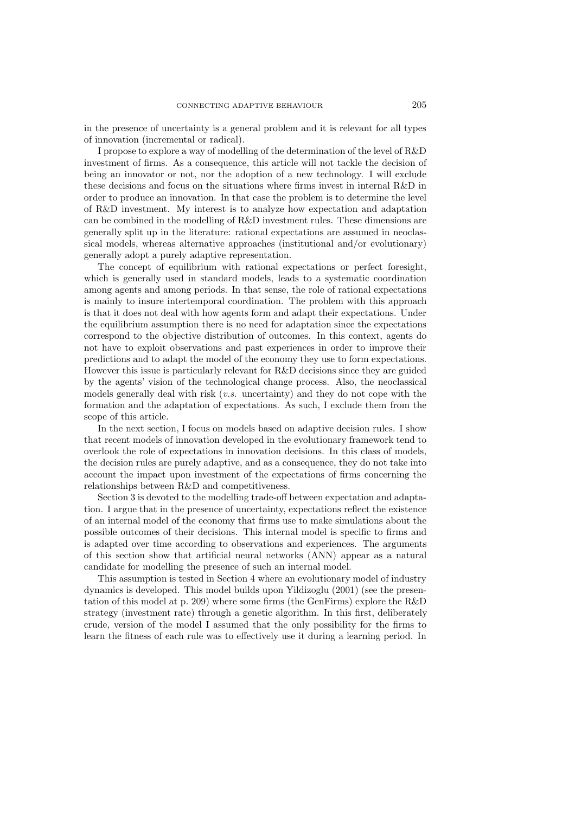in the presence of uncertainty is a general problem and it is relevant for all types of innovation (incremental or radical).

I propose to explore a way of modelling of the determination of the level of R&D investment of firms. As a consequence, this article will not tackle the decision of being an innovator or not, nor the adoption of a new technology. I will exclude these decisions and focus on the situations where firms invest in internal R&D in order to produce an innovation. In that case the problem is to determine the level of R&D investment. My interest is to analyze how expectation and adaptation can be combined in the modelling of R&D investment rules. These dimensions are generally split up in the literature: rational expectations are assumed in neoclassical models, whereas alternative approaches (institutional and/or evolutionary) generally adopt a purely adaptive representation.

The concept of equilibrium with rational expectations or perfect foresight, which is generally used in standard models, leads to a systematic coordination among agents and among periods. In that sense, the role of rational expectations is mainly to insure intertemporal coordination. The problem with this approach is that it does not deal with how agents form and adapt their expectations. Under the equilibrium assumption there is no need for adaptation since the expectations correspond to the objective distribution of outcomes. In this context, agents do not have to exploit observations and past experiences in order to improve their predictions and to adapt the model of the economy they use to form expectations. However this issue is particularly relevant for R&D decisions since they are guided by the agents' vision of the technological change process. Also, the neoclassical models generally deal with risk (*v.s.* uncertainty) and they do not cope with the formation and the adaptation of expectations. As such, I exclude them from the scope of this article.

In the next section, I focus on models based on adaptive decision rules. I show that recent models of innovation developed in the evolutionary framework tend to overlook the role of expectations in innovation decisions. In this class of models, the decision rules are purely adaptive, and as a consequence, they do not take into account the impact upon investment of the expectations of firms concerning the relationships between R&D and competitiveness.

Section 3 is devoted to the modelling trade-off between expectation and adaptation. I argue that in the presence of uncertainty, expectations reflect the existence of an internal model of the economy that firms use to make simulations about the possible outcomes of their decisions. This internal model is specific to firms and is adapted over time according to observations and experiences. The arguments of this section show that artificial neural networks (ANN) appear as a natural candidate for modelling the presence of such an internal model.

This assumption is tested in Section 4 where an evolutionary model of industry dynamics is developed. This model builds upon Yildizoglu (2001) (see the presentation of this model at p. 209) where some firms (the GenFirms) explore the R&D strategy (investment rate) through a genetic algorithm. In this first, deliberately crude, version of the model I assumed that the only possibility for the firms to learn the fitness of each rule was to effectively use it during a learning period. In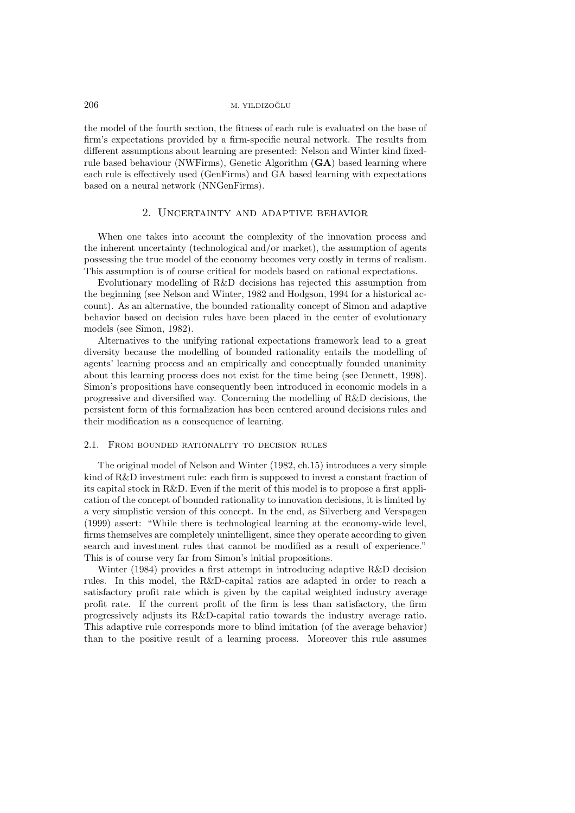the model of the fourth section, the fitness of each rule is evaluated on the base of firm's expectations provided by a firm-specific neural network. The results from different assumptions about learning are presented: Nelson and Winter kind fixedrule based behaviour (NWFirms), Genetic Algorithm (**GA**) based learning where each rule is effectively used (GenFirms) and GA based learning with expectations based on a neural network (NNGenFirms).

# 2. Uncertainty and adaptive behavior

When one takes into account the complexity of the innovation process and the inherent uncertainty (technological and/or market), the assumption of agents possessing the true model of the economy becomes very costly in terms of realism. This assumption is of course critical for models based on rational expectations.

Evolutionary modelling of R&D decisions has rejected this assumption from the beginning (see Nelson and Winter, 1982 and Hodgson, 1994 for a historical account). As an alternative, the bounded rationality concept of Simon and adaptive behavior based on decision rules have been placed in the center of evolutionary models (see Simon, 1982).

Alternatives to the unifying rational expectations framework lead to a great diversity because the modelling of bounded rationality entails the modelling of agents' learning process and an empirically and conceptually founded unanimity about this learning process does not exist for the time being (see Dennett, 1998). Simon's propositions have consequently been introduced in economic models in a progressive and diversified way. Concerning the modelling of R&D decisions, the persistent form of this formalization has been centered around decisions rules and their modification as a consequence of learning.

# 2.1. From bounded rationality to decision rules

The original model of Nelson and Winter (1982, ch.15) introduces a very simple kind of R&D investment rule: each firm is supposed to invest a constant fraction of its capital stock in R&D. Even if the merit of this model is to propose a first application of the concept of bounded rationality to innovation decisions, it is limited by a very simplistic version of this concept. In the end, as Silverberg and Verspagen (1999) assert: "While there is technological learning at the economy-wide level, firms themselves are completely unintelligent, since they operate according to given search and investment rules that cannot be modified as a result of experience." This is of course very far from Simon's initial propositions.

Winter (1984) provides a first attempt in introducing adaptive R&D decision rules. In this model, the R&D-capital ratios are adapted in order to reach a satisfactory profit rate which is given by the capital weighted industry average profit rate. If the current profit of the firm is less than satisfactory, the firm progressively adjusts its R&D-capital ratio towards the industry average ratio. This adaptive rule corresponds more to blind imitation (of the average behavior) than to the positive result of a learning process. Moreover this rule assumes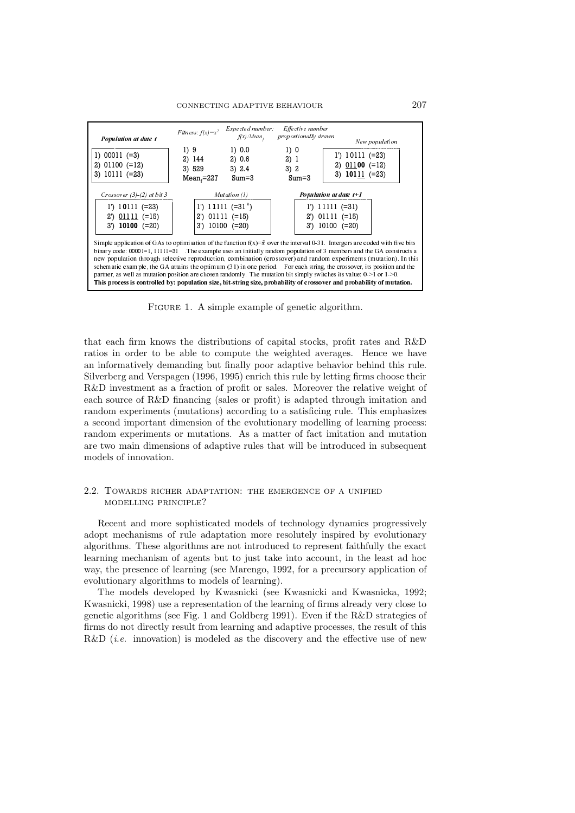

FIGURE 1. A simple example of genetic algorithm.

that each firm knows the distributions of capital stocks, profit rates and R&D ratios in order to be able to compute the weighted averages. Hence we have an informatively demanding but finally poor adaptive behavior behind this rule. Silverberg and Verspagen (1996, 1995) enrich this rule by letting firms choose their R&D investment as a fraction of profit or sales. Moreover the relative weight of each source of R&D financing (sales or profit) is adapted through imitation and random experiments (mutations) according to a satisficing rule. This emphasizes a second important dimension of the evolutionary modelling of learning process: random experiments or mutations. As a matter of fact imitation and mutation are two main dimensions of adaptive rules that will be introduced in subsequent models of innovation.

### 2.2. Towards richer adaptation: the emergence of a unified modelling principle?

Recent and more sophisticated models of technology dynamics progressively adopt mechanisms of rule adaptation more resolutely inspired by evolutionary algorithms. These algorithms are not introduced to represent faithfully the exact learning mechanism of agents but to just take into account, in the least ad hoc way, the presence of learning (see Marengo, 1992, for a precursory application of evolutionary algorithms to models of learning).

The models developed by Kwasnicki (see Kwasnicki and Kwasnicka, 1992; Kwasnicki, 1998) use a representation of the learning of firms already very close to genetic algorithms (see Fig. 1 and Goldberg 1991). Even if the R&D strategies of firms do not directly result from learning and adaptive processes, the result of this R&D *(i.e.* innovation) is modeled as the discovery and the effective use of new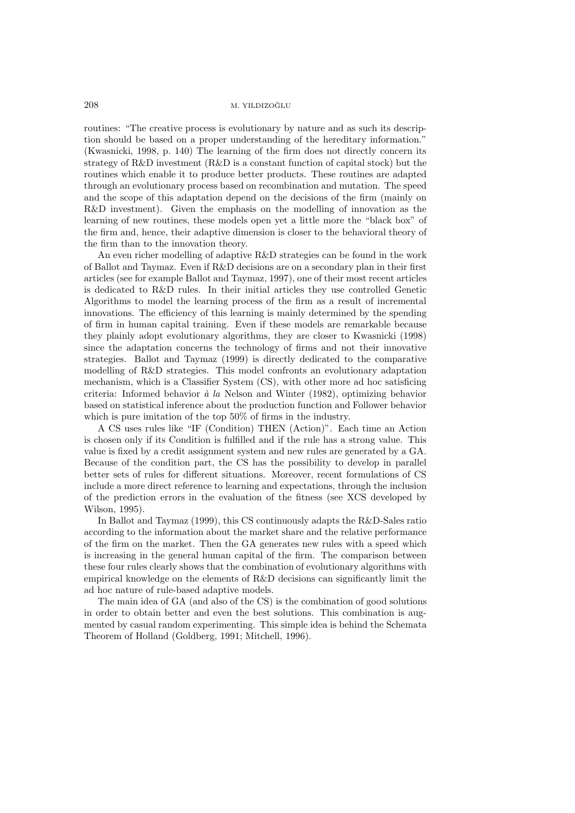routines: "The creative process is evolutionary by nature and as such its description should be based on a proper understanding of the hereditary information." (Kwasnicki, 1998, p. 140) The learning of the firm does not directly concern its strategy of R&D investment (R&D is a constant function of capital stock) but the routines which enable it to produce better products. These routines are adapted through an evolutionary process based on recombination and mutation. The speed and the scope of this adaptation depend on the decisions of the firm (mainly on R&D investment). Given the emphasis on the modelling of innovation as the learning of new routines, these models open yet a little more the "black box" of the firm and, hence, their adaptive dimension is closer to the behavioral theory of the firm than to the innovation theory.

An even richer modelling of adaptive R&D strategies can be found in the work of Ballot and Taymaz. Even if R&D decisions are on a secondary plan in their first articles (see for example Ballot and Taymaz, 1997), one of their most recent articles is dedicated to R&D rules. In their initial articles they use controlled Genetic Algorithms to model the learning process of the firm as a result of incremental innovations. The efficiency of this learning is mainly determined by the spending of firm in human capital training. Even if these models are remarkable because they plainly adopt evolutionary algorithms, they are closer to Kwasnicki (1998) since the adaptation concerns the technology of firms and not their innovative strategies. Ballot and Taymaz (1999) is directly dedicated to the comparative modelling of R&D strategies. This model confronts an evolutionary adaptation mechanism, which is a Classifier System (CS), with other more ad hoc satisficing criteria: Informed behavior *à la* Nelson and Winter (1982), optimizing behavior based on statistical inference about the production function and Follower behavior which is pure imitation of the top 50% of firms in the industry.

A CS uses rules like "IF (Condition) THEN (Action)". Each time an Action is chosen only if its Condition is fulfilled and if the rule has a strong value. This value is fixed by a credit assignment system and new rules are generated by a GA. Because of the condition part, the CS has the possibility to develop in parallel better sets of rules for different situations. Moreover, recent formulations of CS include a more direct reference to learning and expectations, through the inclusion of the prediction errors in the evaluation of the fitness (see XCS developed by Wilson, 1995).

In Ballot and Taymaz (1999), this CS continuously adapts the R&D-Sales ratio according to the information about the market share and the relative performance of the firm on the market. Then the GA generates new rules with a speed which is increasing in the general human capital of the firm. The comparison between these four rules clearly shows that the combination of evolutionary algorithms with empirical knowledge on the elements of R&D decisions can significantly limit the ad hoc nature of rule-based adaptive models.

The main idea of GA (and also of the CS) is the combination of good solutions in order to obtain better and even the best solutions. This combination is augmented by casual random experimenting. This simple idea is behind the Schemata Theorem of Holland (Goldberg, 1991; Mitchell, 1996).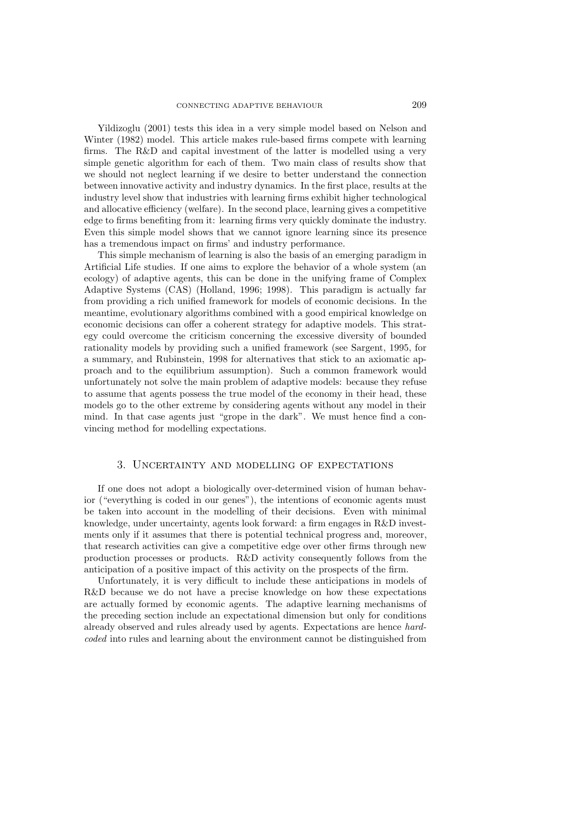Yildizoglu (2001) tests this idea in a very simple model based on Nelson and Winter (1982) model. This article makes rule-based firms compete with learning firms. The R&D and capital investment of the latter is modelled using a very simple genetic algorithm for each of them. Two main class of results show that we should not neglect learning if we desire to better understand the connection between innovative activity and industry dynamics. In the first place, results at the industry level show that industries with learning firms exhibit higher technological and allocative efficiency (welfare). In the second place, learning gives a competitive edge to firms benefiting from it: learning firms very quickly dominate the industry. Even this simple model shows that we cannot ignore learning since its presence has a tremendous impact on firms' and industry performance.

This simple mechanism of learning is also the basis of an emerging paradigm in Artificial Life studies. If one aims to explore the behavior of a whole system (an ecology) of adaptive agents, this can be done in the unifying frame of Complex Adaptive Systems (CAS) (Holland, 1996; 1998). This paradigm is actually far from providing a rich unified framework for models of economic decisions. In the meantime, evolutionary algorithms combined with a good empirical knowledge on economic decisions can offer a coherent strategy for adaptive models. This strategy could overcome the criticism concerning the excessive diversity of bounded rationality models by providing such a unified framework (see Sargent, 1995, for a summary, and Rubinstein, 1998 for alternatives that stick to an axiomatic approach and to the equilibrium assumption). Such a common framework would unfortunately not solve the main problem of adaptive models: because they refuse to assume that agents possess the true model of the economy in their head, these models go to the other extreme by considering agents without any model in their mind. In that case agents just "grope in the dark". We must hence find a convincing method for modelling expectations.

#### 3. Uncertainty and modelling of expectations

If one does not adopt a biologically over-determined vision of human behavior ("everything is coded in our genes"), the intentions of economic agents must be taken into account in the modelling of their decisions. Even with minimal knowledge, under uncertainty, agents look forward: a firm engages in R&D investments only if it assumes that there is potential technical progress and, moreover, that research activities can give a competitive edge over other firms through new production processes or products. R&D activity consequently follows from the anticipation of a positive impact of this activity on the prospects of the firm.

Unfortunately, it is very difficult to include these anticipations in models of R&D because we do not have a precise knowledge on how these expectations are actually formed by economic agents. The adaptive learning mechanisms of the preceding section include an expectational dimension but only for conditions already observed and rules already used by agents. Expectations are hence *hardcoded* into rules and learning about the environment cannot be distinguished from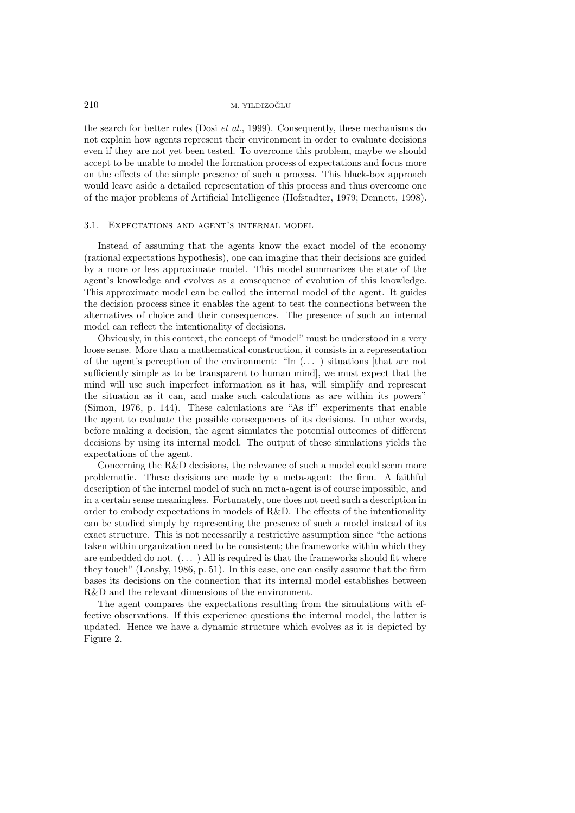the search for better rules (Dosi *et al.*, 1999). Consequently, these mechanisms do not explain how agents represent their environment in order to evaluate decisions even if they are not yet been tested. To overcome this problem, maybe we should accept to be unable to model the formation process of expectations and focus more on the effects of the simple presence of such a process. This black-box approach would leave aside a detailed representation of this process and thus overcome one of the major problems of Artificial Intelligence (Hofstadter, 1979; Dennett, 1998).

#### 3.1. Expectations and agent's internal model

Instead of assuming that the agents know the exact model of the economy (rational expectations hypothesis), one can imagine that their decisions are guided by a more or less approximate model. This model summarizes the state of the agent's knowledge and evolves as a consequence of evolution of this knowledge. This approximate model can be called the internal model of the agent. It guides the decision process since it enables the agent to test the connections between the alternatives of choice and their consequences. The presence of such an internal model can reflect the intentionality of decisions.

Obviously, in this context, the concept of "model" must be understood in a very loose sense. More than a mathematical construction, it consists in a representation of the agent's perception of the environment: "In (... ) situations [that are not sufficiently simple as to be transparent to human mind], we must expect that the mind will use such imperfect information as it has, will simplify and represent the situation as it can, and make such calculations as are within its powers" (Simon, 1976, p. 144). These calculations are "As if" experiments that enable the agent to evaluate the possible consequences of its decisions. In other words, before making a decision, the agent simulates the potential outcomes of different decisions by using its internal model. The output of these simulations yields the expectations of the agent.

Concerning the R&D decisions, the relevance of such a model could seem more problematic. These decisions are made by a meta-agent: the firm. A faithful description of the internal model of such an meta-agent is of course impossible, and in a certain sense meaningless. Fortunately, one does not need such a description in order to embody expectations in models of R&D. The effects of the intentionality can be studied simply by representing the presence of such a model instead of its exact structure. This is not necessarily a restrictive assumption since "the actions taken within organization need to be consistent; the frameworks within which they are embedded do not. (... ) All is required is that the frameworks should fit where they touch" (Loasby, 1986, p. 51). In this case, one can easily assume that the firm bases its decisions on the connection that its internal model establishes between R&D and the relevant dimensions of the environment.

The agent compares the expectations resulting from the simulations with effective observations. If this experience questions the internal model, the latter is updated. Hence we have a dynamic structure which evolves as it is depicted by Figure 2.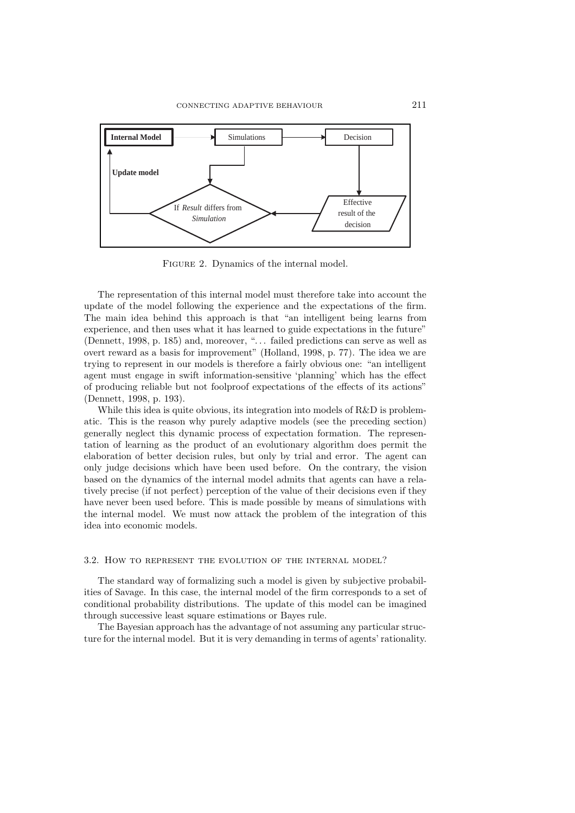

Figure 2. Dynamics of the internal model.

The representation of this internal model must therefore take into account the update of the model following the experience and the expectations of the firm. The main idea behind this approach is that "an intelligent being learns from experience, and then uses what it has learned to guide expectations in the future" (Dennett, 1998, p. 185) and, moreover, "... failed predictions can serve as well as overt reward as a basis for improvement" (Holland, 1998, p. 77). The idea we are trying to represent in our models is therefore a fairly obvious one: "an intelligent agent must engage in swift information-sensitive 'planning' which has the effect of producing reliable but not foolproof expectations of the effects of its actions" (Dennett, 1998, p. 193).

While this idea is quite obvious, its integration into models of R&D is problematic. This is the reason why purely adaptive models (see the preceding section) generally neglect this dynamic process of expectation formation. The representation of learning as the product of an evolutionary algorithm does permit the elaboration of better decision rules, but only by trial and error. The agent can only judge decisions which have been used before. On the contrary, the vision based on the dynamics of the internal model admits that agents can have a relatively precise (if not perfect) perception of the value of their decisions even if they have never been used before. This is made possible by means of simulations with the internal model. We must now attack the problem of the integration of this idea into economic models.

#### 3.2. How to represent the evolution of the internal model?

The standard way of formalizing such a model is given by subjective probabilities of Savage. In this case, the internal model of the firm corresponds to a set of conditional probability distributions. The update of this model can be imagined through successive least square estimations or Bayes rule.

The Bayesian approach has the advantage of not assuming any particular structure for the internal model. But it is very demanding in terms of agents' rationality.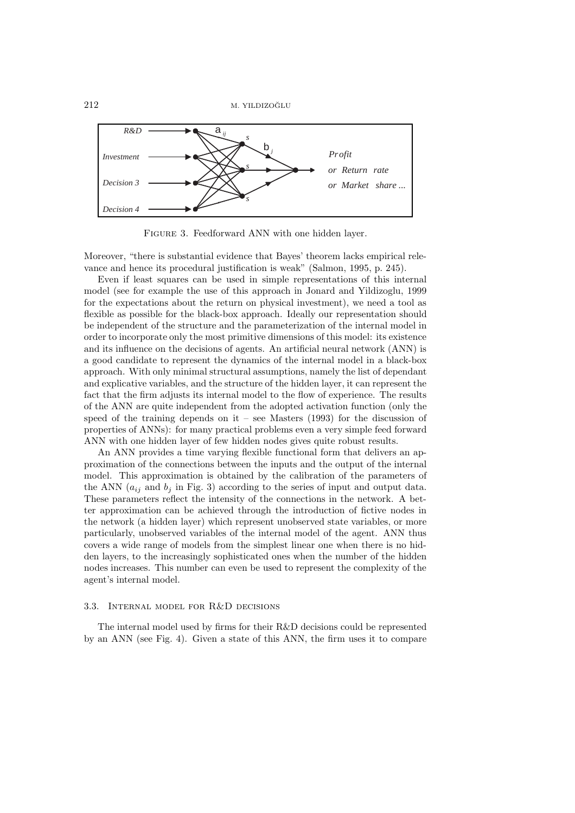

Figure 3. Feedforward ANN with one hidden layer.

Moreover, "there is substantial evidence that Bayes' theorem lacks empirical relevance and hence its procedural justification is weak" (Salmon, 1995, p. 245).

Even if least squares can be used in simple representations of this internal model (see for example the use of this approach in Jonard and Yildizoglu, 1999 for the expectations about the return on physical investment), we need a tool as flexible as possible for the black-box approach. Ideally our representation should be independent of the structure and the parameterization of the internal model in order to incorporate only the most primitive dimensions of this model: its existence and its influence on the decisions of agents. An artificial neural network (ANN) is a good candidate to represent the dynamics of the internal model in a black-box approach. With only minimal structural assumptions, namely the list of dependant and explicative variables, and the structure of the hidden layer, it can represent the fact that the firm adjusts its internal model to the flow of experience. The results of the ANN are quite independent from the adopted activation function (only the speed of the training depends on it – see Masters  $(1993)$  for the discussion of properties of ANNs): for many practical problems even a very simple feed forward ANN with one hidden layer of few hidden nodes gives quite robust results.

An ANN provides a time varying flexible functional form that delivers an approximation of the connections between the inputs and the output of the internal model. This approximation is obtained by the calibration of the parameters of the ANN  $(a_{ij}$  and  $b_j$  in Fig. 3) according to the series of input and output data. These parameters reflect the intensity of the connections in the network. A better approximation can be achieved through the introduction of fictive nodes in the network (a hidden layer) which represent unobserved state variables, or more particularly, unobserved variables of the internal model of the agent. ANN thus covers a wide range of models from the simplest linear one when there is no hidden layers, to the increasingly sophisticated ones when the number of the hidden nodes increases. This number can even be used to represent the complexity of the agent's internal model.

#### 3.3. Internal model for R&D decisions

The internal model used by firms for their R&D decisions could be represented by an ANN (see Fig. 4). Given a state of this ANN, the firm uses it to compare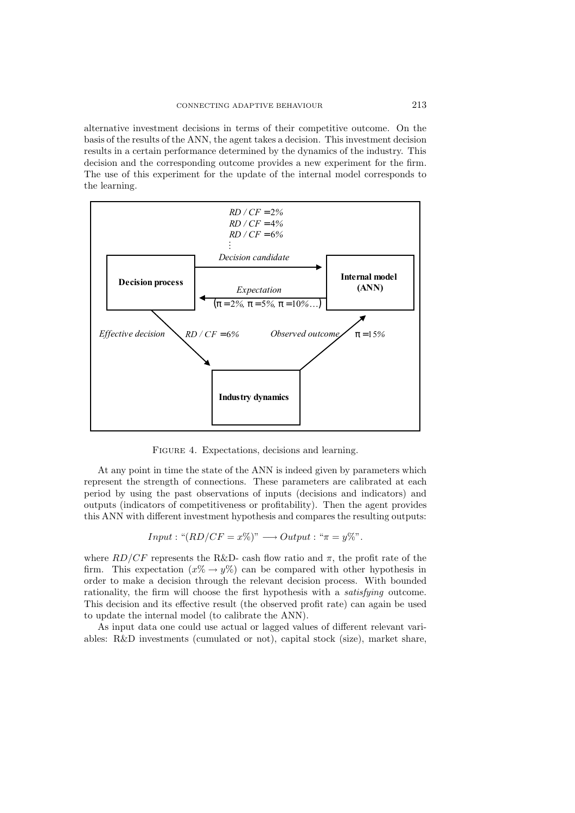alternative investment decisions in terms of their competitive outcome. On the basis of the results of the ANN, the agent takes a decision. This investment decision results in a certain performance determined by the dynamics of the industry. This decision and the corresponding outcome provides a new experiment for the firm. The use of this experiment for the update of the internal model corresponds to the learning.



FIGURE 4. Expectations, decisions and learning.

At any point in time the state of the ANN is indeed given by parameters which represent the strength of connections. These parameters are calibrated at each period by using the past observations of inputs (decisions and indicators) and outputs (indicators of competitiveness or profitability). Then the agent provides this ANN with different investment hypothesis and compares the resulting outputs:

Input: "
$$
(RD/CF = x\%)
$$
"  $\longrightarrow$  Output: " $\pi = y\%$ ".

where  $RD/CF$  represents the R&D- cash flow ratio and  $\pi$ , the profit rate of the firm. This expectation  $(x\% \rightarrow y\%)$  can be compared with other hypothesis in order to make a decision through the relevant decision process. With bounded rationality, the firm will choose the first hypothesis with a *satisfying* outcome. This decision and its effective result (the observed profit rate) can again be used to update the internal model (to calibrate the ANN).

As input data one could use actual or lagged values of different relevant variables: R&D investments (cumulated or not), capital stock (size), market share,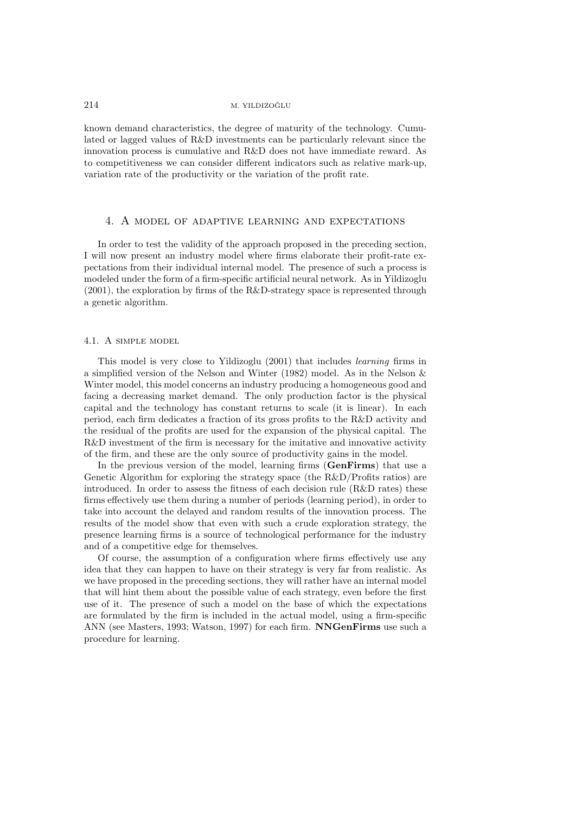known demand characteristics, the degree of maturity of the technology. Cumulated or lagged values of R&D investments can be particularly relevant since the innovation process is cumulative and R&D does not have immediate reward. As to competitiveness we can consider different indicators such as relative mark-up, variation rate of the productivity or the variation of the profit rate.

#### 4. A model of adaptive learning and expectations

In order to test the validity of the approach proposed in the preceding section, I will now present an industry model where firms elaborate their profit-rate expectations from their individual internal model. The presence of such a process is modeled under the form of a firm-specific artificial neural network. As in Yildizoglu (2001), the exploration by firms of the R&D-strategy space is represented through a genetic algorithm.

#### 4.1. A simple model

This model is very close to Yildizoglu (2001) that includes *learning* firms in a simplified version of the Nelson and Winter (1982) model. As in the Nelson & Winter model, this model concerns an industry producing a homogeneous good and facing a decreasing market demand. The only production factor is the physical capital and the technology has constant returns to scale (it is linear). In each period, each firm dedicates a fraction of its gross profits to the R&D activity and the residual of the profits are used for the expansion of the physical capital. The R&D investment of the firm is necessary for the imitative and innovative activity of the firm, and these are the only source of productivity gains in the model.

In the previous version of the model, learning firms (**GenFirms**) that use a Genetic Algorithm for exploring the strategy space (the R&D/Profits ratios) are introduced. In order to assess the fitness of each decision rule (R&D rates) these firms effectively use them during a number of periods (learning period), in order to take into account the delayed and random results of the innovation process. The results of the model show that even with such a crude exploration strategy, the presence learning firms is a source of technological performance for the industry and of a competitive edge for themselves.

Of course, the assumption of a configuration where firms effectively use any idea that they can happen to have on their strategy is very far from realistic. As we have proposed in the preceding sections, they will rather have an internal model that will hint them about the possible value of each strategy, even before the first use of it. The presence of such a model on the base of which the expectations are formulated by the firm is included in the actual model, using a firm-specific ANN (see Masters, 1993; Watson, 1997) for each firm. **NNGenFirms** use such a procedure for learning.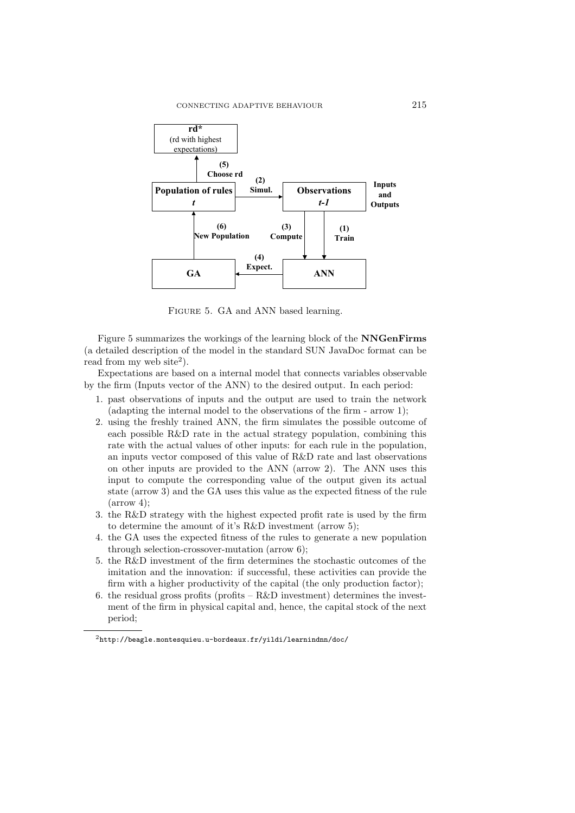

Figure 5. GA and ANN based learning.

Figure 5 summarizes the workings of the learning block of the **NNGenFirms** (a detailed description of the model in the standard SUN JavaDoc format can be read from my web site<sup>2</sup>).

Expectations are based on a internal model that connects variables observable by the firm (Inputs vector of the ANN) to the desired output. In each period:

- 1. past observations of inputs and the output are used to train the network (adapting the internal model to the observations of the firm - arrow 1);
- 2. using the freshly trained ANN, the firm simulates the possible outcome of each possible R&D rate in the actual strategy population, combining this rate with the actual values of other inputs: for each rule in the population, an inputs vector composed of this value of R&D rate and last observations on other inputs are provided to the ANN (arrow 2). The ANN uses this input to compute the corresponding value of the output given its actual state (arrow 3) and the GA uses this value as the expected fitness of the rule  $\mbox{(arrow 4)}$ :
- 3. the R&D strategy with the highest expected profit rate is used by the firm to determine the amount of it's R&D investment (arrow 5);
- 4. the GA uses the expected fitness of the rules to generate a new population through selection-crossover-mutation (arrow 6);
- 5. the R&D investment of the firm determines the stochastic outcomes of the imitation and the innovation: if successful, these activities can provide the firm with a higher productivity of the capital (the only production factor);
- 6. the residual gross profits (profits  $-R&D$  investment) determines the investment of the firm in physical capital and, hence, the capital stock of the next period;

 $2$ http://beagle.montesquieu.u-bordeaux.fr/yildi/learnindnn/doc/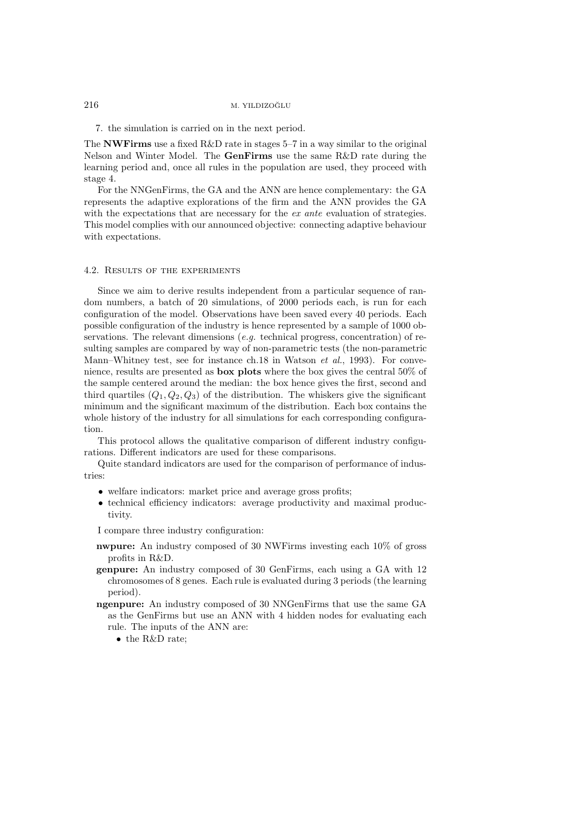7. the simulation is carried on in the next period.

The **NWFirms** use a fixed R&D rate in stages 5–7 in a way similar to the original Nelson and Winter Model. The **GenFirms** use the same R&D rate during the learning period and, once all rules in the population are used, they proceed with stage 4.

For the NNGenFirms, the GA and the ANN are hence complementary: the GA represents the adaptive explorations of the firm and the ANN provides the GA with the expectations that are necessary for the *ex ante* evaluation of strategies. This model complies with our announced objective: connecting adaptive behaviour with expectations.

#### 4.2. Results of the experiments

Since we aim to derive results independent from a particular sequence of random numbers, a batch of 20 simulations, of 2000 periods each, is run for each configuration of the model. Observations have been saved every 40 periods. Each possible configuration of the industry is hence represented by a sample of 1000 observations. The relevant dimensions (*e.g.* technical progress, concentration) of resulting samples are compared by way of non-parametric tests (the non-parametric Mann–Whitney test, see for instance ch.18 in Watson *et al.*, 1993). For convenience, results are presented as **box plots** where the box gives the central 50% of the sample centered around the median: the box hence gives the first, second and third quartiles  $(Q_1, Q_2, Q_3)$  of the distribution. The whiskers give the significant minimum and the significant maximum of the distribution. Each box contains the whole history of the industry for all simulations for each corresponding configuration.

This protocol allows the qualitative comparison of different industry configurations. Different indicators are used for these comparisons.

Quite standard indicators are used for the comparison of performance of industries:

- welfare indicators: market price and average gross profits;
- technical efficiency indicators: average productivity and maximal productivity.

I compare three industry configuration:

- **nwpure:** An industry composed of 30 NWFirms investing each 10% of gross profits in R&D.
- **genpure:** An industry composed of 30 GenFirms, each using a GA with 12 chromosomes of 8 genes. Each rule is evaluated during 3 periods (the learning period).
- **ngenpure:** An industry composed of 30 NNGenFirms that use the same GA as the GenFirms but use an ANN with 4 hidden nodes for evaluating each rule. The inputs of the ANN are:

• the R&D rate;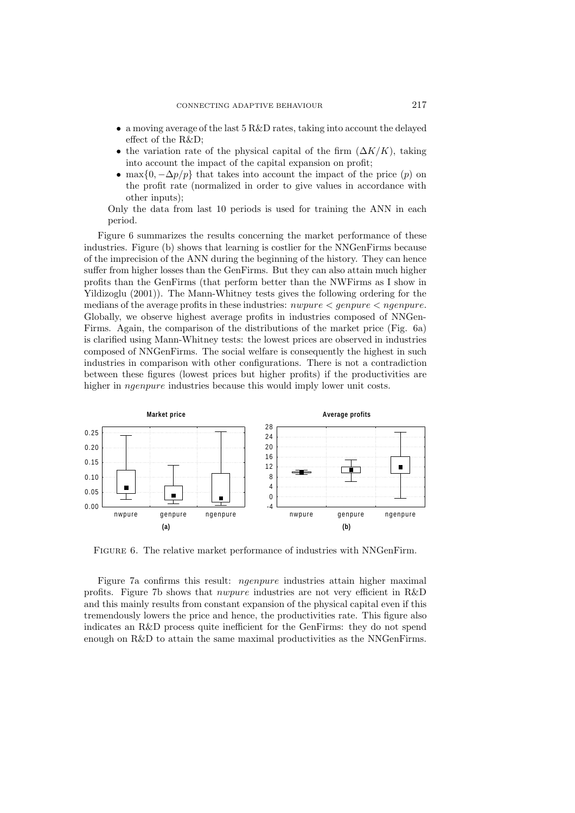- a moving average of the last 5 R&D rates, taking into account the delayed effect of the R&D;
- the variation rate of the physical capital of the firm  $(\Delta K/K)$ , taking into account the impact of the capital expansion on profit;
- max $\{0, -\Delta p/p\}$  that takes into account the impact of the price  $(p)$  on the profit rate (normalized in order to give values in accordance with other inputs);

Only the data from last 10 periods is used for training the ANN in each period.

Figure 6 summarizes the results concerning the market performance of these industries. Figure (b) shows that learning is costlier for the NNGenFirms because of the imprecision of the ANN during the beginning of the history. They can hence suffer from higher losses than the GenFirms. But they can also attain much higher profits than the GenFirms (that perform better than the NWFirms as I show in Yildizoglu (2001)). The Mann-Whitney tests gives the following ordering for the medians of the average profits in these industries:  $nwpure < ngenpure$ . Globally, we observe highest average profits in industries composed of NNGen-Firms. Again, the comparison of the distributions of the market price (Fig. 6a) is clarified using Mann-Whitney tests: the lowest prices are observed in industries composed of NNGenFirms. The social welfare is consequently the highest in such industries in comparison with other configurations. There is not a contradiction between these figures (lowest prices but higher profits) if the productivities are higher in ngenpure industries because this would imply lower unit costs.



Figure 6. The relative market performance of industries with NNGenFirm.

Figure 7a confirms this result: ngenpure industries attain higher maximal profits. Figure 7b shows that nwpure industries are not very efficient in R&D and this mainly results from constant expansion of the physical capital even if this tremendously lowers the price and hence, the productivities rate. This figure also indicates an R&D process quite inefficient for the GenFirms: they do not spend enough on R&D to attain the same maximal productivities as the NNGenFirms.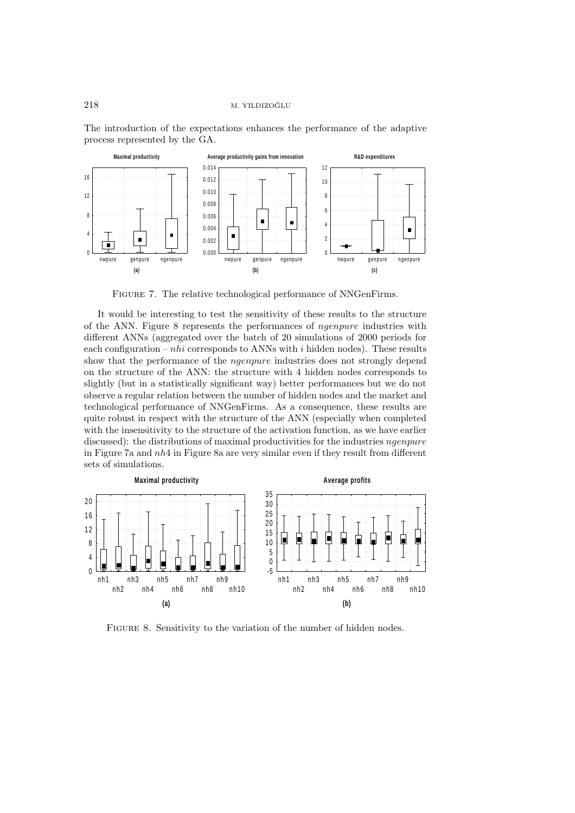



FIGURE 7. The relative technological performance of NNGenFirms.

It would be interesting to test the sensitivity of these results to the structure of the ANN. Figure 8 represents the performances of ngenpure industries with different ANNs (aggregated over the batch of 20 simulations of 2000 periods for each configuration –  $nhi$  corresponds to ANNs with i hidden nodes). These results show that the performance of the ngenpure industries does not strongly depend on the structure of the ANN: the structure with 4 hidden nodes corresponds to slightly (but in a statistically significant way) better performances but we do not observe a regular relation between the number of hidden nodes and the market and technological performance of NNGenFirms. As a consequence, these results are quite robust in respect with the structure of the ANN (especially when completed with the insensitivity to the structure of the activation function, as we have earlier discussed): the distributions of maximal productivities for the industries *ngenpure* in Figure 7a and nh4 in Figure 8a are very similar even if they result from different sets of simulations.



FIGURE 8. Sensitivity to the variation of the number of hidden nodes.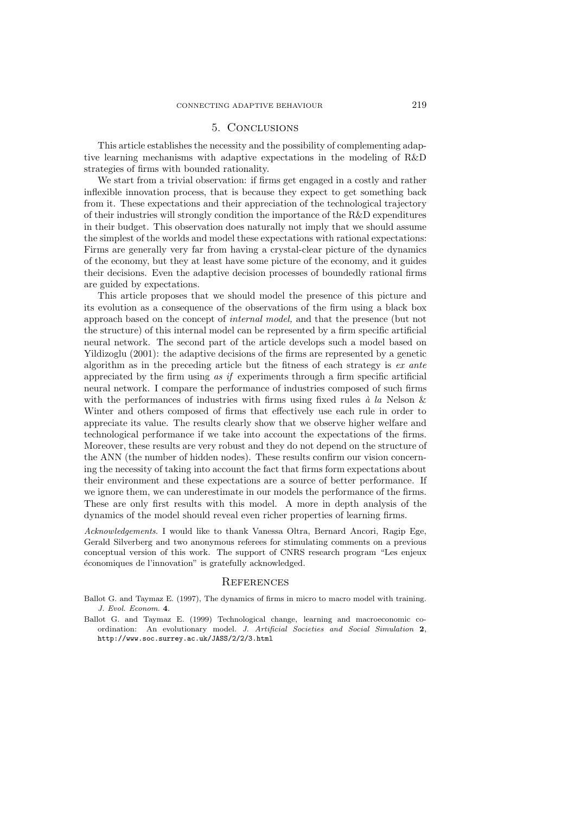# 5. Conclusions

This article establishes the necessity and the possibility of complementing adaptive learning mechanisms with adaptive expectations in the modeling of R&D strategies of firms with bounded rationality.

We start from a trivial observation: if firms get engaged in a costly and rather inflexible innovation process, that is because they expect to get something back from it. These expectations and their appreciation of the technological trajectory of their industries will strongly condition the importance of the R&D expenditures in their budget. This observation does naturally not imply that we should assume the simplest of the worlds and model these expectations with rational expectations: Firms are generally very far from having a crystal-clear picture of the dynamics of the economy, but they at least have some picture of the economy, and it guides their decisions. Even the adaptive decision processes of boundedly rational firms are guided by expectations.

This article proposes that we should model the presence of this picture and its evolution as a consequence of the observations of the firm using a black box approach based on the concept of *internal model,* and that the presence (but not the structure) of this internal model can be represented by a firm specific artificial neural network. The second part of the article develops such a model based on Yildizoglu (2001): the adaptive decisions of the firms are represented by a genetic algorithm as in the preceding article but the fitness of each strategy is *ex ante* appreciated by the firm using *as if* experiments through a firm specific artificial neural network. I compare the performance of industries composed of such firms with the performances of industries with firms using fixed rules  $\dot{a}$  *la* Nelson & Winter and others composed of firms that effectively use each rule in order to appreciate its value. The results clearly show that we observe higher welfare and technological performance if we take into account the expectations of the firms. Moreover, these results are very robust and they do not depend on the structure of the ANN (the number of hidden nodes). These results confirm our vision concerning the necessity of taking into account the fact that firms form expectations about their environment and these expectations are a source of better performance. If we ignore them, we can underestimate in our models the performance of the firms. These are only first results with this model. A more in depth analysis of the dynamics of the model should reveal even richer properties of learning firms.

Acknowledgements. I would like to thank Vanessa Oltra, Bernard Ancori, Ragip Ege, Gerald Silverberg and two anonymous referees for stimulating comments on a previous conceptual version of this work. The support of CNRS research program "Les enjeux économiques de l'innovation" is gratefully acknowledged.

#### **REFERENCES**

- Ballot G. and Taymaz E. (1997), The dynamics of firms in micro to macro model with training. J. Evol. Econom. **4**.
- Ballot G. and Taymaz E. (1999) Technological change, learning and macroeconomic coordination: An evolutionary model. J. Artificial Societies and Social Simulation **2**, http://www.soc.surrey.ac.uk/JASS/2/2/3.html